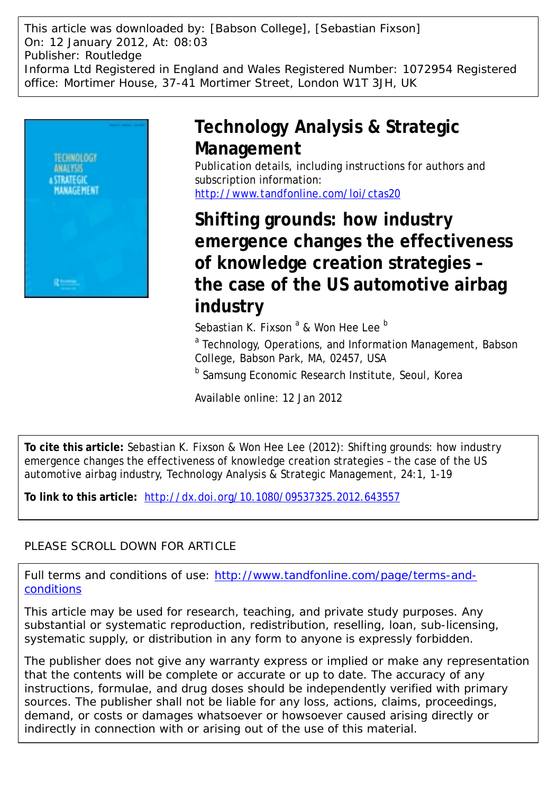This article was downloaded by: [Babson College], [Sebastian Fixson] On: 12 January 2012, At: 08:03 Publisher: Routledge Informa Ltd Registered in England and Wales Registered Number: 1072954 Registered office: Mortimer House, 37-41 Mortimer Street, London W1T 3JH, UK



## **Technology Analysis & Strategic Management**

Publication details, including instructions for authors and subscription information: <http://www.tandfonline.com/loi/ctas20>

# **Shifting grounds: how industry emergence changes the effectiveness of knowledge creation strategies – the case of the US automotive airbag industry**

Sebastian K. Fixson <sup>a</sup> & Won Hee Lee <sup>b</sup>

<sup>a</sup> Technology, Operations, and Information Management, Babson College, Babson Park, MA, 02457, USA

**b Samsung Economic Research Institute, Seoul, Korea** 

Available online: 12 Jan 2012

**To cite this article:** Sebastian K. Fixson & Won Hee Lee (2012): Shifting grounds: how industry emergence changes the effectiveness of knowledge creation strategies – the case of the US automotive airbag industry, Technology Analysis & Strategic Management, 24:1, 1-19

**To link to this article:** <http://dx.doi.org/10.1080/09537325.2012.643557>

## PLEASE SCROLL DOWN FOR ARTICLE

Full terms and conditions of use: [http://www.tandfonline.com/page/terms-and](http://www.tandfonline.com/page/terms-and-conditions)[conditions](http://www.tandfonline.com/page/terms-and-conditions)

This article may be used for research, teaching, and private study purposes. Any substantial or systematic reproduction, redistribution, reselling, loan, sub-licensing, systematic supply, or distribution in any form to anyone is expressly forbidden.

The publisher does not give any warranty express or implied or make any representation that the contents will be complete or accurate or up to date. The accuracy of any instructions, formulae, and drug doses should be independently verified with primary sources. The publisher shall not be liable for any loss, actions, claims, proceedings, demand, or costs or damages whatsoever or howsoever caused arising directly or indirectly in connection with or arising out of the use of this material.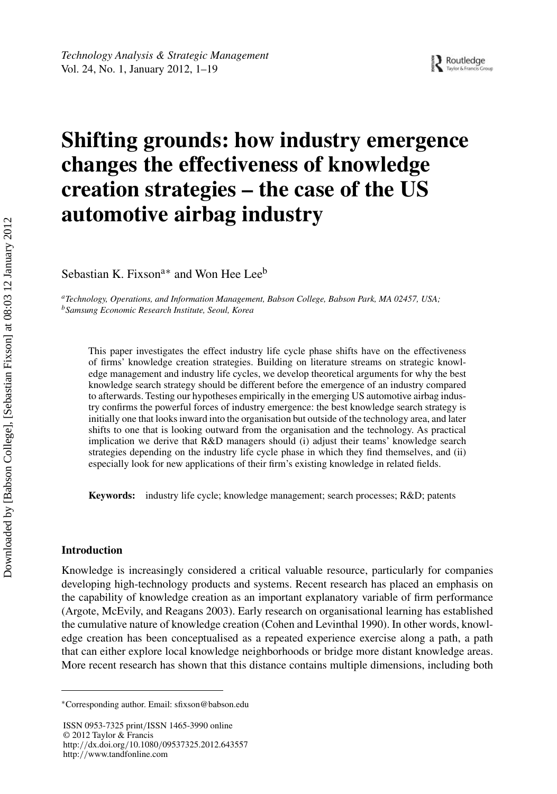# **Shifting grounds: how industry emergence changes the effectiveness of knowledge creation strategies – the case of the US automotive airbag industry**

Sebastian K. Fixson<sup>a∗</sup> and Won Hee Lee<sup>b</sup>

*aTechnology, Operations, and Information Management, Babson College, Babson Park, MA 02457, USA; bSamsung Economic Research Institute, Seoul, Korea*

This paper investigates the effect industry life cycle phase shifts have on the effectiveness of firms' knowledge creation strategies. Building on literature streams on strategic knowledge management and industry life cycles, we develop theoretical arguments for why the best knowledge search strategy should be different before the emergence of an industry compared to afterwards. Testing our hypotheses empirically in the emerging US automotive airbag industry confirms the powerful forces of industry emergence: the best knowledge search strategy is initially one that looks inward into the organisation but outside of the technology area, and later shifts to one that is looking outward from the organisation and the technology. As practical implication we derive that R&D managers should (i) adjust their teams' knowledge search strategies depending on the industry life cycle phase in which they find themselves, and (ii) especially look for new applications of their firm's existing knowledge in related fields.

**Keywords:** industry life cycle; knowledge management; search processes; R&D; patents

## **Introduction**

Knowledge is increasingly considered a critical valuable resource, particularly for companies developing high-technology products and systems. Recent research has placed an emphasis on the capability of knowledge creation as an important explanatory variable of firm performance (Argote, McEvily, and Reagans 2003). Early research on organisational learning has established the cumulative nature of knowledge creation (Cohen and Levinthal 1990). In other words, knowledge creation has been conceptualised as a repeated experience exercise along a path, a path that can either explore local knowledge neighborhoods or bridge more distant knowledge areas. More recent research has shown that this distance contains multiple dimensions, including both

ISSN 0953-7325 print*/*ISSN 1465-3990 online © 2012 Taylor & Francis http:*//*dx.doi.org*/*10.1080*/*09537325.2012.643557 http:*//*www.tandfonline.com

<sup>∗</sup>Corresponding author. Email: sfixson@babson.edu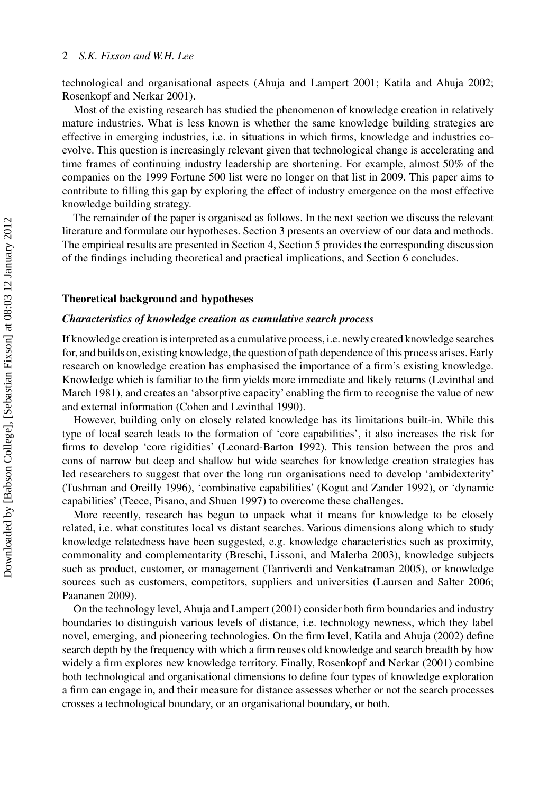## 2 *S.K. Fixson and W.H. Lee*

technological and organisational aspects (Ahuja and Lampert 2001; Katila and Ahuja 2002; Rosenkopf and Nerkar 2001).

Most of the existing research has studied the phenomenon of knowledge creation in relatively mature industries. What is less known is whether the same knowledge building strategies are effective in emerging industries, i.e. in situations in which firms, knowledge and industries coevolve. This question is increasingly relevant given that technological change is accelerating and time frames of continuing industry leadership are shortening. For example, almost 50% of the companies on the 1999 Fortune 500 list were no longer on that list in 2009. This paper aims to contribute to filling this gap by exploring the effect of industry emergence on the most effective knowledge building strategy.

The remainder of the paper is organised as follows. In the next section we discuss the relevant literature and formulate our hypotheses. Section 3 presents an overview of our data and methods. The empirical results are presented in Section 4, Section 5 provides the corresponding discussion of the findings including theoretical and practical implications, and Section 6 concludes.

## **Theoretical background and hypotheses**

## *Characteristics of knowledge creation as cumulative search process*

If knowledge creation is interpreted as a cumulative process, i.e. newly created knowledge searches for, and builds on, existing knowledge, the question of path dependence of this process arises. Early research on knowledge creation has emphasised the importance of a firm's existing knowledge. Knowledge which is familiar to the firm yields more immediate and likely returns (Levinthal and March 1981), and creates an 'absorptive capacity' enabling the firm to recognise the value of new and external information (Cohen and Levinthal 1990).

However, building only on closely related knowledge has its limitations built-in. While this type of local search leads to the formation of 'core capabilities', it also increases the risk for firms to develop 'core rigidities' (Leonard-Barton 1992). This tension between the pros and cons of narrow but deep and shallow but wide searches for knowledge creation strategies has led researchers to suggest that over the long run organisations need to develop 'ambidexterity' (Tushman and Oreilly 1996), 'combinative capabilities' (Kogut and Zander 1992), or 'dynamic capabilities' (Teece, Pisano, and Shuen 1997) to overcome these challenges.

More recently, research has begun to unpack what it means for knowledge to be closely related, i.e. what constitutes local vs distant searches. Various dimensions along which to study knowledge relatedness have been suggested, e.g. knowledge characteristics such as proximity, commonality and complementarity (Breschi, Lissoni, and Malerba 2003), knowledge subjects such as product, customer, or management (Tanriverdi and Venkatraman 2005), or knowledge sources such as customers, competitors, suppliers and universities (Laursen and Salter 2006; Paananen 2009).

On the technology level, Ahuja and Lampert (2001) consider both firm boundaries and industry boundaries to distinguish various levels of distance, i.e. technology newness, which they label novel, emerging, and pioneering technologies. On the firm level, Katila and Ahuja (2002) define search depth by the frequency with which a firm reuses old knowledge and search breadth by how widely a firm explores new knowledge territory. Finally, Rosenkopf and Nerkar (2001) combine both technological and organisational dimensions to define four types of knowledge exploration a firm can engage in, and their measure for distance assesses whether or not the search processes crosses a technological boundary, or an organisational boundary, or both.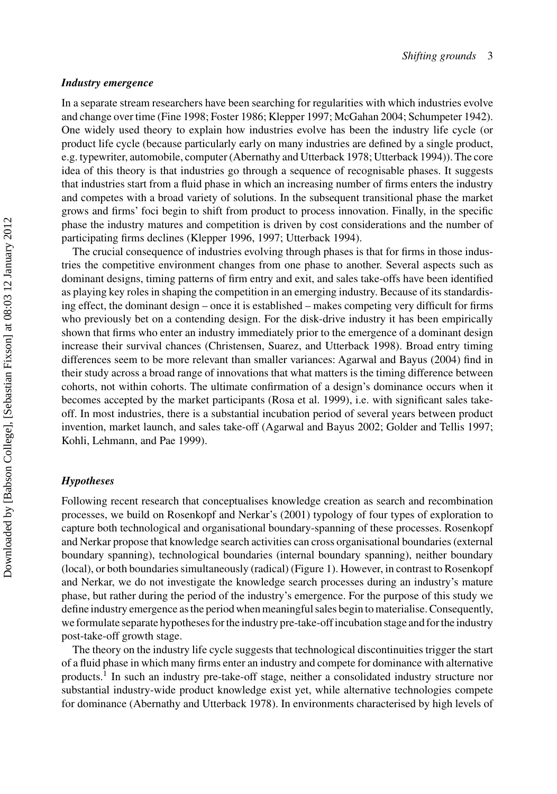## *Industry emergence*

In a separate stream researchers have been searching for regularities with which industries evolve and change over time (Fine 1998; Foster 1986; Klepper 1997; McGahan 2004; Schumpeter 1942). One widely used theory to explain how industries evolve has been the industry life cycle (or product life cycle (because particularly early on many industries are defined by a single product, e.g. typewriter, automobile, computer (Abernathy and Utterback 1978; Utterback 1994)). The core idea of this theory is that industries go through a sequence of recognisable phases. It suggests that industries start from a fluid phase in which an increasing number of firms enters the industry and competes with a broad variety of solutions. In the subsequent transitional phase the market grows and firms' foci begin to shift from product to process innovation. Finally, in the specific phase the industry matures and competition is driven by cost considerations and the number of participating firms declines (Klepper 1996, 1997; Utterback 1994).

The crucial consequence of industries evolving through phases is that for firms in those industries the competitive environment changes from one phase to another. Several aspects such as dominant designs, timing patterns of firm entry and exit, and sales take-offs have been identified as playing key roles in shaping the competition in an emerging industry. Because of its standardising effect, the dominant design – once it is established – makes competing very difficult for firms who previously bet on a contending design. For the disk-drive industry it has been empirically shown that firms who enter an industry immediately prior to the emergence of a dominant design increase their survival chances (Christensen, Suarez, and Utterback 1998). Broad entry timing differences seem to be more relevant than smaller variances: Agarwal and Bayus (2004) find in their study across a broad range of innovations that what matters is the timing difference between cohorts, not within cohorts. The ultimate confirmation of a design's dominance occurs when it becomes accepted by the market participants (Rosa et al. 1999), i.e. with significant sales takeoff. In most industries, there is a substantial incubation period of several years between product invention, market launch, and sales take-off (Agarwal and Bayus 2002; Golder and Tellis 1997; Kohli, Lehmann, and Pae 1999).

## *Hypotheses*

Following recent research that conceptualises knowledge creation as search and recombination processes, we build on Rosenkopf and Nerkar's (2001) typology of four types of exploration to capture both technological and organisational boundary-spanning of these processes. Rosenkopf and Nerkar propose that knowledge search activities can cross organisational boundaries (external boundary spanning), technological boundaries (internal boundary spanning), neither boundary (local), or both boundaries simultaneously (radical) (Figure 1). However, in contrast to Rosenkopf and Nerkar, we do not investigate the knowledge search processes during an industry's mature phase, but rather during the period of the industry's emergence. For the purpose of this study we define industry emergence as the period when meaningful sales begin to materialise. Consequently, we formulate separate hypotheses for the industry pre-take-off incubation stage and for the industry post-take-off growth stage.

The theory on the industry life cycle suggests that technological discontinuities trigger the start of a fluid phase in which many firms enter an industry and compete for dominance with alternative products.1 In such an industry pre-take-off stage, neither a consolidated industry structure nor substantial industry-wide product knowledge exist yet, while alternative technologies compete for dominance (Abernathy and Utterback 1978). In environments characterised by high levels of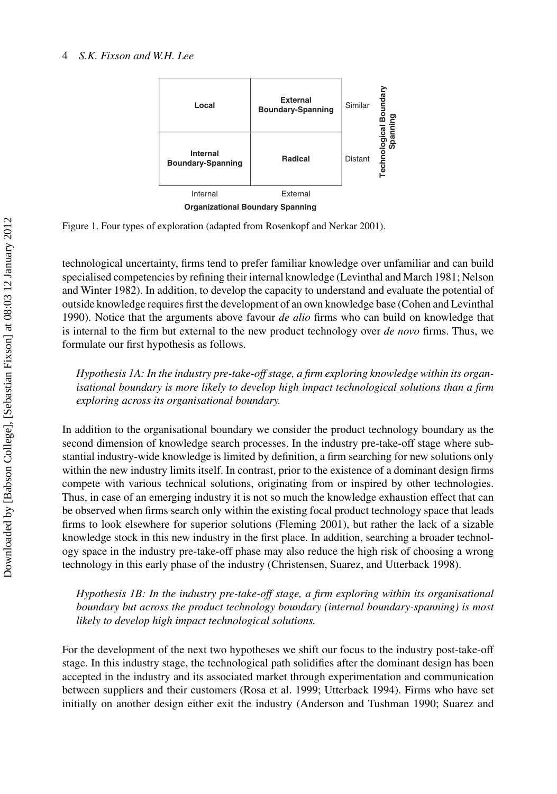## 4 *S.K. Fixson and W.H. Lee*



Figure 1. Four types of exploration (adapted from Rosenkopf and Nerkar 2001).

technological uncertainty, firms tend to prefer familiar knowledge over unfamiliar and can build specialised competencies by refining their internal knowledge (Levinthal and March 1981; Nelson and Winter 1982). In addition, to develop the capacity to understand and evaluate the potential of outside knowledge requires first the development of an own knowledge base (Cohen and Levinthal 1990). Notice that the arguments above favour *de alio* firms who can build on knowledge that is internal to the firm but external to the new product technology over *de novo* firms. Thus, we formulate our first hypothesis as follows.

*Hypothesis 1A: In the industry pre-take-off stage, a firm exploring knowledge within its organisational boundary is more likely to develop high impact technological solutions than a firm exploring across its organisational boundary.*

In addition to the organisational boundary we consider the product technology boundary as the second dimension of knowledge search processes. In the industry pre-take-off stage where substantial industry-wide knowledge is limited by definition, a firm searching for new solutions only within the new industry limits itself. In contrast, prior to the existence of a dominant design firms compete with various technical solutions, originating from or inspired by other technologies. Thus, in case of an emerging industry it is not so much the knowledge exhaustion effect that can be observed when firms search only within the existing focal product technology space that leads firms to look elsewhere for superior solutions (Fleming 2001), but rather the lack of a sizable knowledge stock in this new industry in the first place. In addition, searching a broader technology space in the industry pre-take-off phase may also reduce the high risk of choosing a wrong technology in this early phase of the industry (Christensen, Suarez, and Utterback 1998).

*Hypothesis 1B: In the industry pre-take-off stage, a firm exploring within its organisational boundary but across the product technology boundary (internal boundary-spanning) is most likely to develop high impact technological solutions.*

For the development of the next two hypotheses we shift our focus to the industry post-take-off stage. In this industry stage, the technological path solidifies after the dominant design has been accepted in the industry and its associated market through experimentation and communication between suppliers and their customers (Rosa et al. 1999; Utterback 1994). Firms who have set initially on another design either exit the industry (Anderson and Tushman 1990; Suarez and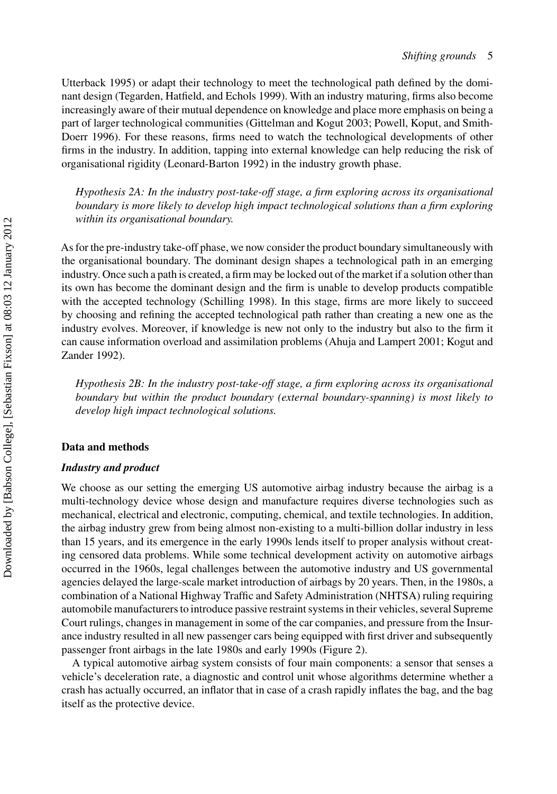Utterback 1995) or adapt their technology to meet the technological path defined by the dominant design (Tegarden, Hatfield, and Echols 1999). With an industry maturing, firms also become increasingly aware of their mutual dependence on knowledge and place more emphasis on being a part of larger technological communities (Gittelman and Kogut 2003; Powell, Koput, and Smith-Doerr 1996). For these reasons, firms need to watch the technological developments of other firms in the industry. In addition, tapping into external knowledge can help reducing the risk of organisational rigidity (Leonard-Barton 1992) in the industry growth phase.

*Hypothesis 2A: In the industry post-take-off stage, a firm exploring across its organisational boundary is more likely to develop high impact technological solutions than a firm exploring within its organisational boundary.*

As for the pre-industry take-off phase, we now consider the product boundary simultaneously with the organisational boundary. The dominant design shapes a technological path in an emerging industry. Once such a path is created, a firm may be locked out of the market if a solution other than its own has become the dominant design and the firm is unable to develop products compatible with the accepted technology (Schilling 1998). In this stage, firms are more likely to succeed by choosing and refining the accepted technological path rather than creating a new one as the industry evolves. Moreover, if knowledge is new not only to the industry but also to the firm it can cause information overload and assimilation problems (Ahuja and Lampert 2001; Kogut and Zander 1992).

*Hypothesis 2B: In the industry post-take-off stage, a firm exploring across its organisational boundary but within the product boundary (external boundary-spanning) is most likely to develop high impact technological solutions.*

## **Data and methods**

## *Industry and product*

We choose as our setting the emerging US automotive airbag industry because the airbag is a multi-technology device whose design and manufacture requires diverse technologies such as mechanical, electrical and electronic, computing, chemical, and textile technologies. In addition, the airbag industry grew from being almost non-existing to a multi-billion dollar industry in less than 15 years, and its emergence in the early 1990s lends itself to proper analysis without creating censored data problems. While some technical development activity on automotive airbags occurred in the 1960s, legal challenges between the automotive industry and US governmental agencies delayed the large-scale market introduction of airbags by 20 years. Then, in the 1980s, a combination of a National Highway Traffic and Safety Administration (NHTSA) ruling requiring automobile manufacturers to introduce passive restraint systems in their vehicles, several Supreme Court rulings, changes in management in some of the car companies, and pressure from the Insurance industry resulted in all new passenger cars being equipped with first driver and subsequently passenger front airbags in the late 1980s and early 1990s (Figure 2).

A typical automotive airbag system consists of four main components: a sensor that senses a vehicle's deceleration rate, a diagnostic and control unit whose algorithms determine whether a crash has actually occurred, an inflator that in case of a crash rapidly inflates the bag, and the bag itself as the protective device.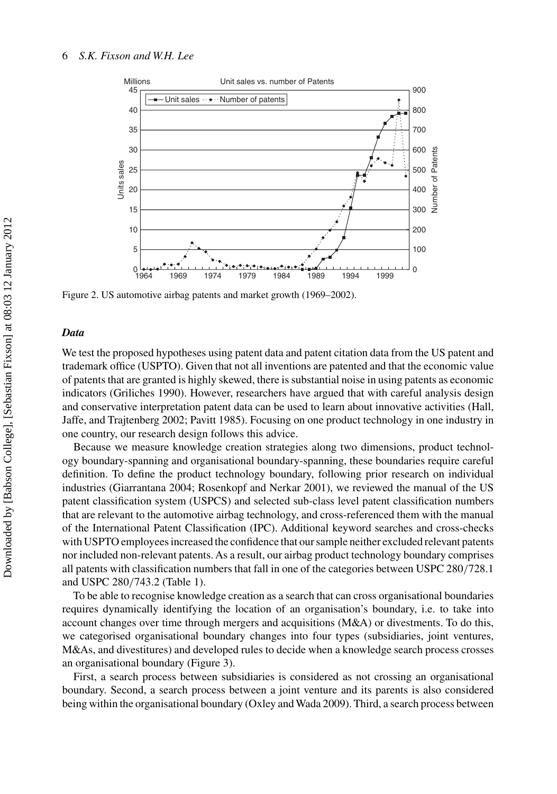

Figure 2. US automotive airbag patents and market growth (1969–2002).

## *Data*

We test the proposed hypotheses using patent data and patent citation data from the US patent and trademark office (USPTO). Given that not all inventions are patented and that the economic value of patents that are granted is highly skewed, there is substantial noise in using patents as economic indicators (Griliches 1990). However, researchers have argued that with careful analysis design and conservative interpretation patent data can be used to learn about innovative activities (Hall, Jaffe, and Trajtenberg 2002; Pavitt 1985). Focusing on one product technology in one industry in one country, our research design follows this advice.

Because we measure knowledge creation strategies along two dimensions, product technology boundary-spanning and organisational boundary-spanning, these boundaries require careful definition. To define the product technology boundary, following prior research on individual industries (Giarrantana 2004; Rosenkopf and Nerkar 2001), we reviewed the manual of the US patent classification system (USPCS) and selected sub-class level patent classification numbers that are relevant to the automotive airbag technology, and cross-referenced them with the manual of the International Patent Classification (IPC). Additional keyword searches and cross-checks with USPTO employees increased the confidence that our sample neither excluded relevant patents nor included non-relevant patents. As a result, our airbag product technology boundary comprises all patents with classification numbers that fall in one of the categories between USPC 280*/*728.1 and USPC 280*/*743.2 (Table 1).

To be able to recognise knowledge creation as a search that can cross organisational boundaries requires dynamically identifying the location of an organisation's boundary, i.e. to take into account changes over time through mergers and acquisitions (M&A) or divestments. To do this, we categorised organisational boundary changes into four types (subsidiaries, joint ventures, M&As, and divestitures) and developed rules to decide when a knowledge search process crosses an organisational boundary (Figure 3).

First, a search process between subsidiaries is considered as not crossing an organisational boundary. Second, a search process between a joint venture and its parents is also considered being within the organisational boundary (Oxley and Wada 2009). Third, a search process between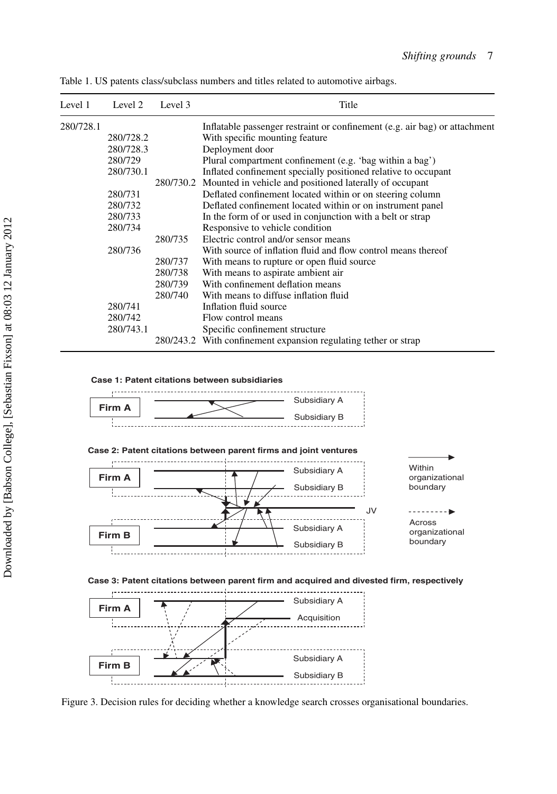| Level 1   | Level 2   | Level 3 | Title                                                                      |
|-----------|-----------|---------|----------------------------------------------------------------------------|
| 280/728.1 |           |         | Inflatable passenger restraint or confinement (e.g. air bag) or attachment |
|           | 280/728.2 |         | With specific mounting feature                                             |
|           | 280/728.3 |         | Deployment door                                                            |
|           | 280/729   |         | Plural compartment confinement (e.g. 'bag within a bag')                   |
|           | 280/730.1 |         | Inflated confinement specially positioned relative to occupant             |
|           |           |         | 280/730.2 Mounted in vehicle and positioned laterally of occupant          |
|           | 280/731   |         | Deflated confinement located within or on steering column                  |
|           | 280/732   |         | Deflated confinement located within or on instrument panel                 |
|           | 280/733   |         | In the form of or used in conjunction with a belt or strap                 |
|           | 280/734   |         | Responsive to vehicle condition                                            |
|           |           | 280/735 | Electric control and/or sensor means                                       |
|           | 280/736   |         | With source of inflation fluid and flow control means thereof              |
|           |           | 280/737 | With means to rupture or open fluid source                                 |
|           |           | 280/738 | With means to aspirate ambient air                                         |
|           |           | 280/739 | With confinement deflation means                                           |
|           |           | 280/740 | With means to diffuse inflation fluid                                      |
|           | 280/741   |         | Inflation fluid source                                                     |
|           | 280/742   |         | Flow control means                                                         |
|           | 280/743.1 |         | Specific confinement structure                                             |
|           |           |         | 280/243.2 With confinement expansion regulating tether or strap            |

Table 1. US patents class/subclass numbers and titles related to automotive airbags.











Figure 3. Decision rules for deciding whether a knowledge search crosses organisational boundaries.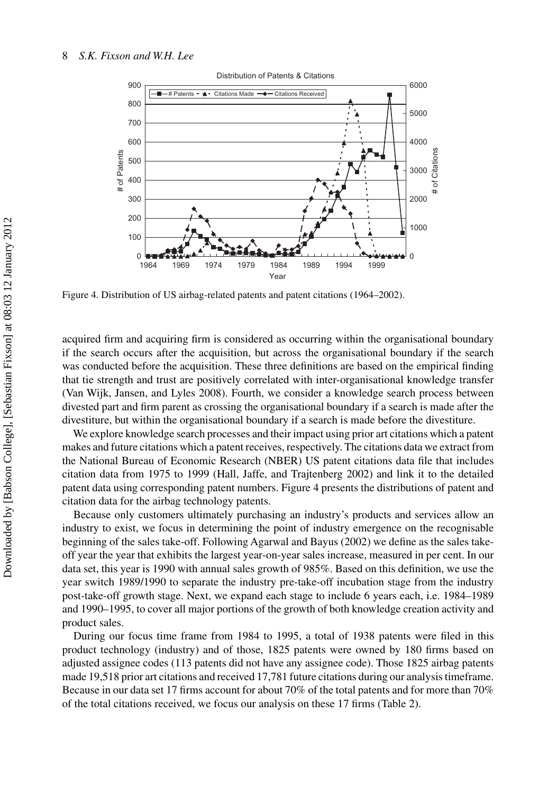

Figure 4. Distribution of US airbag-related patents and patent citations (1964–2002).

acquired firm and acquiring firm is considered as occurring within the organisational boundary if the search occurs after the acquisition, but across the organisational boundary if the search was conducted before the acquisition. These three definitions are based on the empirical finding that tie strength and trust are positively correlated with inter-organisational knowledge transfer (Van Wijk, Jansen, and Lyles 2008). Fourth, we consider a knowledge search process between divested part and firm parent as crossing the organisational boundary if a search is made after the divestiture, but within the organisational boundary if a search is made before the divestiture.

We explore knowledge search processes and their impact using prior art citations which a patent makes and future citations which a patent receives, respectively. The citations data we extract from the National Bureau of Economic Research (NBER) US patent citations data file that includes citation data from 1975 to 1999 (Hall, Jaffe, and Trajtenberg 2002) and link it to the detailed patent data using corresponding patent numbers. Figure 4 presents the distributions of patent and citation data for the airbag technology patents.

Because only customers ultimately purchasing an industry's products and services allow an industry to exist, we focus in determining the point of industry emergence on the recognisable beginning of the sales take-off. Following Agarwal and Bayus (2002) we define as the sales takeoff year the year that exhibits the largest year-on-year sales increase, measured in per cent. In our data set, this year is 1990 with annual sales growth of 985%. Based on this definition, we use the year switch 1989/1990 to separate the industry pre-take-off incubation stage from the industry post-take-off growth stage. Next, we expand each stage to include 6 years each, i.e. 1984–1989 and 1990–1995, to cover all major portions of the growth of both knowledge creation activity and product sales.

During our focus time frame from 1984 to 1995, a total of 1938 patents were filed in this product technology (industry) and of those, 1825 patents were owned by 180 firms based on adjusted assignee codes (113 patents did not have any assignee code). Those 1825 airbag patents made 19,518 prior art citations and received 17,781 future citations during our analysis timeframe. Because in our data set 17 firms account for about 70% of the total patents and for more than 70% of the total citations received, we focus our analysis on these 17 firms (Table 2).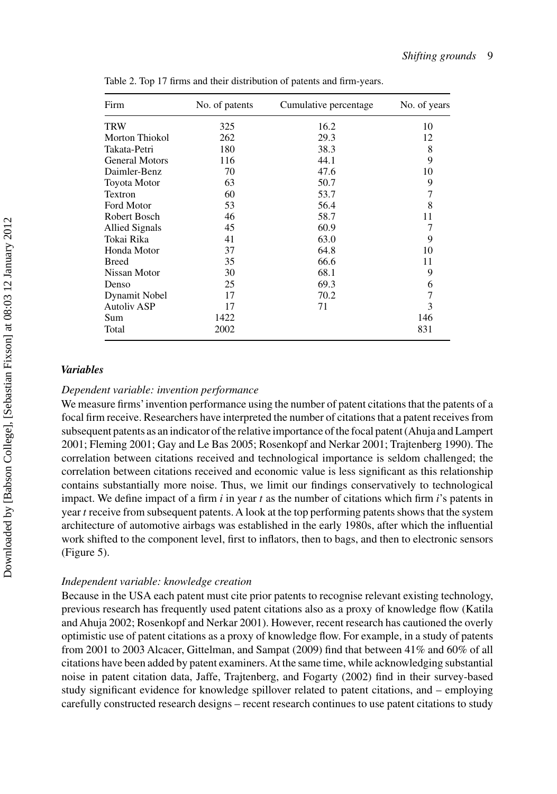| Firm                  | No. of patents | Cumulative percentage | No. of years |
|-----------------------|----------------|-----------------------|--------------|
| <b>TRW</b>            | 325            | 16.2                  | 10           |
| Morton Thiokol        | 262            | 29.3                  | 12           |
| Takata-Petri          | 180            | 38.3                  | 8            |
| <b>General Motors</b> | 116            | 44.1                  | 9            |
| Daimler-Benz          | 70             | 47.6                  | 10           |
| Toyota Motor          | 63             | 50.7                  | 9            |
| <b>Textron</b>        | 60             | 53.7                  | 7            |
| Ford Motor            | 53             | 56.4                  | 8            |
| Robert Bosch          | 46             | 58.7                  | 11           |
| Allied Signals        | 45             | 60.9                  | 7            |
| Tokai Rika            | 41             | 63.0                  | 9            |
| Honda Motor           | 37             | 64.8                  | 10           |
| Breed                 | 35             | 66.6                  | 11           |
| Nissan Motor          | 30             | 68.1                  | 9            |
| Denso                 | 25             | 69.3                  | 6            |
| Dynamit Nobel         | 17             | 70.2                  | 7            |
| <b>Autoliv ASP</b>    | 17             | 71                    | 3            |
| Sum                   | 1422           |                       | 146          |
| Total                 | 2002           |                       | 831          |

Table 2. Top 17 firms and their distribution of patents and firm-years.

## *Variables*

## *Dependent variable: invention performance*

We measure firms'invention performance using the number of patent citations that the patents of a focal firm receive. Researchers have interpreted the number of citations that a patent receives from subsequent patents as an indicator of the relative importance of the focal patent (Ahuja and Lampert 2001; Fleming 2001; Gay and Le Bas 2005; Rosenkopf and Nerkar 2001; Trajtenberg 1990). The correlation between citations received and technological importance is seldom challenged; the correlation between citations received and economic value is less significant as this relationship contains substantially more noise. Thus, we limit our findings conservatively to technological impact. We define impact of a firm *i* in year *t* as the number of citations which firm *i*'s patents in year *t* receive from subsequent patents. A look at the top performing patents shows that the system architecture of automotive airbags was established in the early 1980s, after which the influential work shifted to the component level, first to inflators, then to bags, and then to electronic sensors (Figure 5).

## *Independent variable: knowledge creation*

Because in the USA each patent must cite prior patents to recognise relevant existing technology, previous research has frequently used patent citations also as a proxy of knowledge flow (Katila and Ahuja 2002; Rosenkopf and Nerkar 2001). However, recent research has cautioned the overly optimistic use of patent citations as a proxy of knowledge flow. For example, in a study of patents from 2001 to 2003 Alcacer, Gittelman, and Sampat (2009) find that between 41% and 60% of all citations have been added by patent examiners.At the same time, while acknowledging substantial noise in patent citation data, Jaffe, Trajtenberg, and Fogarty (2002) find in their survey-based study significant evidence for knowledge spillover related to patent citations, and – employing carefully constructed research designs – recent research continues to use patent citations to study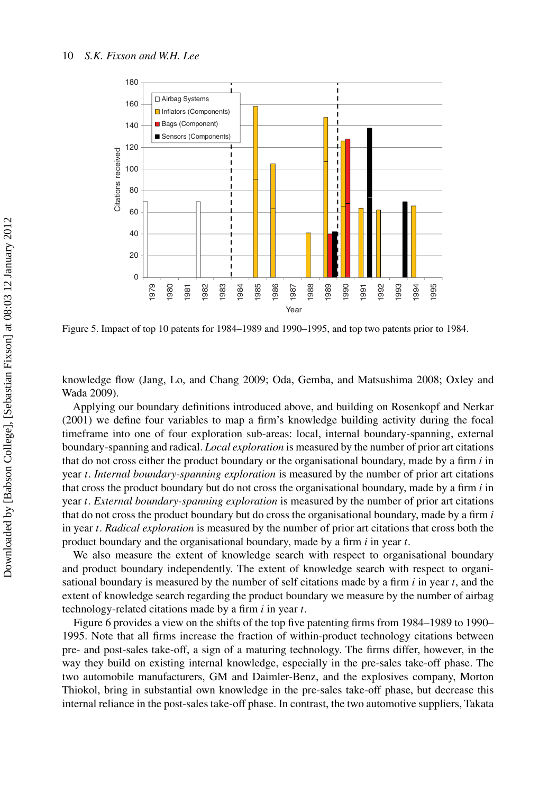

Figure 5. Impact of top 10 patents for 1984–1989 and 1990–1995, and top two patents prior to 1984.

knowledge flow (Jang, Lo, and Chang 2009; Oda, Gemba, and Matsushima 2008; Oxley and Wada 2009).

Applying our boundary definitions introduced above, and building on Rosenkopf and Nerkar (2001) we define four variables to map a firm's knowledge building activity during the focal timeframe into one of four exploration sub-areas: local, internal boundary-spanning, external boundary-spanning and radical. *Local exploration* is measured by the number of prior art citations that do not cross either the product boundary or the organisational boundary, made by a firm *i* in year *t*. *Internal boundary-spanning exploration* is measured by the number of prior art citations that cross the product boundary but do not cross the organisational boundary, made by a firm *i* in year *t*. *External boundary-spanning exploration* is measured by the number of prior art citations that do not cross the product boundary but do cross the organisational boundary, made by a firm *i* in year *t*. *Radical exploration* is measured by the number of prior art citations that cross both the product boundary and the organisational boundary, made by a firm *i* in year *t*.

We also measure the extent of knowledge search with respect to organisational boundary and product boundary independently. The extent of knowledge search with respect to organisational boundary is measured by the number of self citations made by a firm *i* in year *t*, and the extent of knowledge search regarding the product boundary we measure by the number of airbag technology-related citations made by a firm *i* in year *t*.

Figure 6 provides a view on the shifts of the top five patenting firms from 1984–1989 to 1990– 1995. Note that all firms increase the fraction of within-product technology citations between pre- and post-sales take-off, a sign of a maturing technology. The firms differ, however, in the way they build on existing internal knowledge, especially in the pre-sales take-off phase. The two automobile manufacturers, GM and Daimler-Benz, and the explosives company, Morton Thiokol, bring in substantial own knowledge in the pre-sales take-off phase, but decrease this internal reliance in the post-sales take-off phase. In contrast, the two automotive suppliers, Takata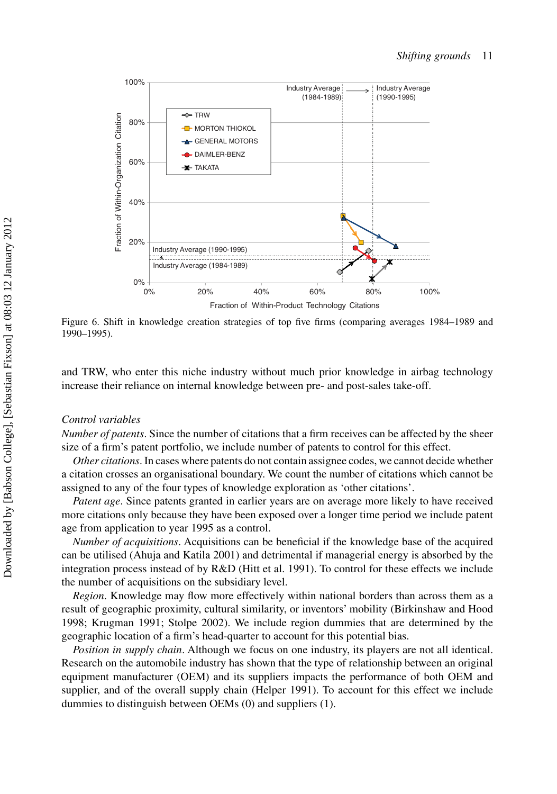

Figure 6. Shift in knowledge creation strategies of top five firms (comparing averages 1984–1989 and 1990–1995).

and TRW, who enter this niche industry without much prior knowledge in airbag technology increase their reliance on internal knowledge between pre- and post-sales take-off.

## *Control variables*

*Number of patents*. Since the number of citations that a firm receives can be affected by the sheer size of a firm's patent portfolio, we include number of patents to control for this effect.

*Other citations*. In cases where patents do not contain assignee codes, we cannot decide whether a citation crosses an organisational boundary. We count the number of citations which cannot be assigned to any of the four types of knowledge exploration as 'other citations'.

*Patent age*. Since patents granted in earlier years are on average more likely to have received more citations only because they have been exposed over a longer time period we include patent age from application to year 1995 as a control.

*Number of acquisitions*. Acquisitions can be beneficial if the knowledge base of the acquired can be utilised (Ahuja and Katila 2001) and detrimental if managerial energy is absorbed by the integration process instead of by R&D (Hitt et al. 1991). To control for these effects we include the number of acquisitions on the subsidiary level.

*Region*. Knowledge may flow more effectively within national borders than across them as a result of geographic proximity, cultural similarity, or inventors' mobility (Birkinshaw and Hood 1998; Krugman 1991; Stolpe 2002). We include region dummies that are determined by the geographic location of a firm's head-quarter to account for this potential bias.

*Position in supply chain*. Although we focus on one industry, its players are not all identical. Research on the automobile industry has shown that the type of relationship between an original equipment manufacturer (OEM) and its suppliers impacts the performance of both OEM and supplier, and of the overall supply chain (Helper 1991). To account for this effect we include dummies to distinguish between OEMs (0) and suppliers (1).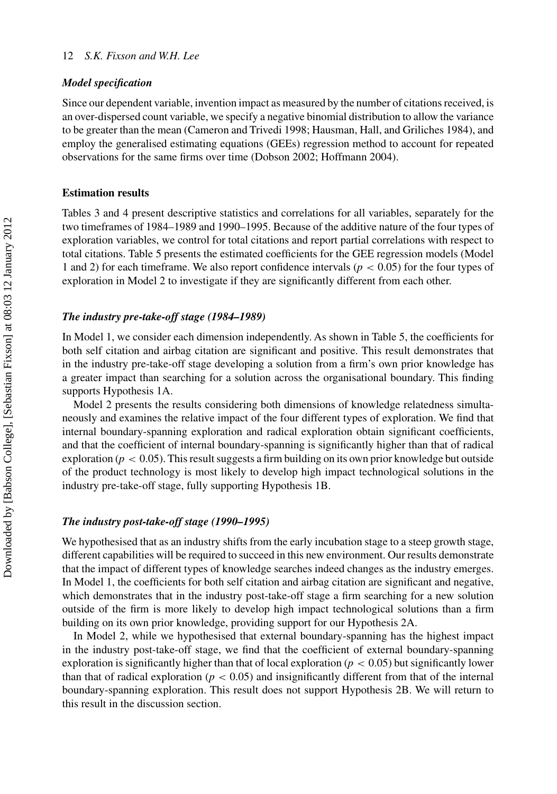#### *Model specification*

Since our dependent variable, invention impact as measured by the number of citations received, is an over-dispersed count variable, we specify a negative binomial distribution to allow the variance to be greater than the mean (Cameron and Trivedi 1998; Hausman, Hall, and Griliches 1984), and employ the generalised estimating equations (GEEs) regression method to account for repeated observations for the same firms over time (Dobson 2002; Hoffmann 2004).

## **Estimation results**

Tables 3 and 4 present descriptive statistics and correlations for all variables, separately for the two timeframes of 1984–1989 and 1990–1995. Because of the additive nature of the four types of exploration variables, we control for total citations and report partial correlations with respect to total citations. Table 5 presents the estimated coefficients for the GEE regression models (Model 1 and 2) for each timeframe. We also report confidence intervals (*p <* 0.05) for the four types of exploration in Model 2 to investigate if they are significantly different from each other.

## *The industry pre-take-off stage (1984–1989)*

In Model 1, we consider each dimension independently. As shown in Table 5, the coefficients for both self citation and airbag citation are significant and positive. This result demonstrates that in the industry pre-take-off stage developing a solution from a firm's own prior knowledge has a greater impact than searching for a solution across the organisational boundary. This finding supports Hypothesis 1A.

Model 2 presents the results considering both dimensions of knowledge relatedness simultaneously and examines the relative impact of the four different types of exploration. We find that internal boundary-spanning exploration and radical exploration obtain significant coefficients, and that the coefficient of internal boundary-spanning is significantly higher than that of radical exploration ( $p < 0.05$ ). This result suggests a firm building on its own prior knowledge but outside of the product technology is most likely to develop high impact technological solutions in the industry pre-take-off stage, fully supporting Hypothesis 1B.

## *The industry post-take-off stage (1990–1995)*

We hypothesised that as an industry shifts from the early incubation stage to a steep growth stage. different capabilities will be required to succeed in this new environment. Our results demonstrate that the impact of different types of knowledge searches indeed changes as the industry emerges. In Model 1, the coefficients for both self citation and airbag citation are significant and negative, which demonstrates that in the industry post-take-off stage a firm searching for a new solution outside of the firm is more likely to develop high impact technological solutions than a firm building on its own prior knowledge, providing support for our Hypothesis 2A.

In Model 2, while we hypothesised that external boundary-spanning has the highest impact in the industry post-take-off stage, we find that the coefficient of external boundary-spanning exploration is significantly higher than that of local exploration (*p <* 0.05) but significantly lower than that of radical exploration ( $p < 0.05$ ) and insignificantly different from that of the internal boundary-spanning exploration. This result does not support Hypothesis 2B. We will return to this result in the discussion section.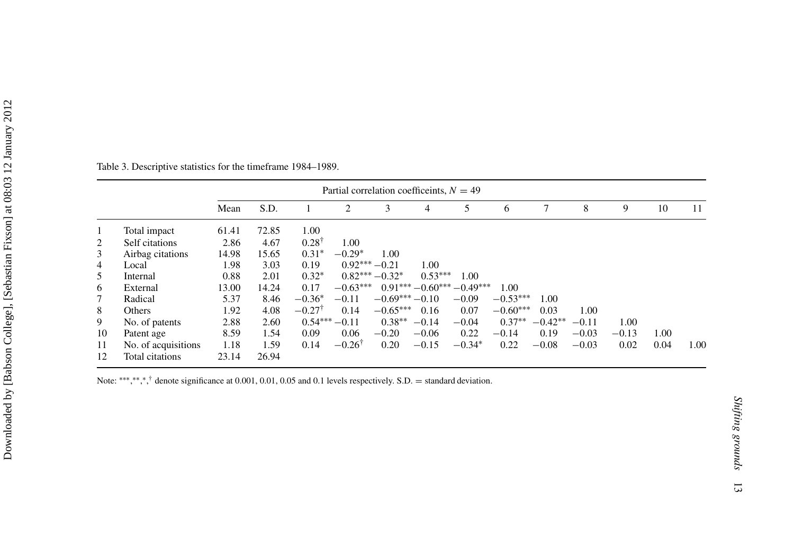|    | Partial correlation coefficeints, $N = 49$ |       |       |                   |                   |                 |                           |          |            |           |         |         |      |      |
|----|--------------------------------------------|-------|-------|-------------------|-------------------|-----------------|---------------------------|----------|------------|-----------|---------|---------|------|------|
|    |                                            | Mean  | S.D.  |                   | 2                 | 3               | 4                         | 5        | 6          |           | 8       | 9       | 10   | 11   |
|    | Total impact                               | 61.41 | 72.85 | 1.00              |                   |                 |                           |          |            |           |         |         |      |      |
|    | Self citations                             | 2.86  | 4.67  | $0.28^{\dagger}$  | 1.00              |                 |                           |          |            |           |         |         |      |      |
| 3  | Airbag citations                           | 14.98 | 15.65 | $0.31*$           | $-0.29*$          | 1.00            |                           |          |            |           |         |         |      |      |
| 4  | Local                                      | 1.98  | 3.03  | 0.19              | $0.92***-0.21$    |                 | 1.00                      |          |            |           |         |         |      |      |
|    | Internal                                   | 0.88  | 2.01  | $0.32*$           |                   | $0.82***-0.32*$ | $0.53***$                 | 1.00     |            |           |         |         |      |      |
| 6  | External                                   | 13.00 | 14.24 | 0.17              | $-0.63***$        |                 | $0.91***-0.60***-0.49***$ |          | 1.00       |           |         |         |      |      |
|    | Radical                                    | 5.37  | 8.46  | $-0.36*$          | $-0.11$           | $-0.69***-0.10$ |                           | $-0.09$  | $-0.53***$ | 1.00      |         |         |      |      |
| 8  | <b>Others</b>                              | 1.92  | 4.08  | $-0.27^{\dagger}$ | 0.14              | $-0.65***$      | 0.16                      | 0.07     | $-0.60***$ | 0.03      | 1.00    |         |      |      |
| 9  | No. of patents                             | 2.88  | 2.60  | $0.54***-0.11$    |                   | $0.38**$        | $-0.14$                   | $-0.04$  | $0.37**$   | $-0.42**$ | $-0.11$ | 1.00    |      |      |
| 10 | Patent age                                 | 8.59  | 1.54  | 0.09              | 0.06              | $-0.20$         | $-0.06$                   | 0.22     | $-0.14$    | 0.19      | $-0.03$ | $-0.13$ | 1.00 |      |
| 11 | No. of acquisitions                        | 1.18  | 1.59  | 0.14              | $-0.26^{\dagger}$ | 0.20            | $-0.15$                   | $-0.34*$ | 0.22       | $-0.08$   | $-0.03$ | 0.02    | 0.04 | 1.00 |
| 12 | Total citations                            | 23.14 | 26.94 |                   |                   |                 |                           |          |            |           |         |         |      |      |

Table 3. Descriptive statistics for the timeframe 1984–1989.

Note: <sup>\*\*\*</sup>,\*\*,\*,<sup>†</sup> denote significance at 0.001, 0.01, 0.05 and 0.1 levels respectively. S.D. = standard deviation.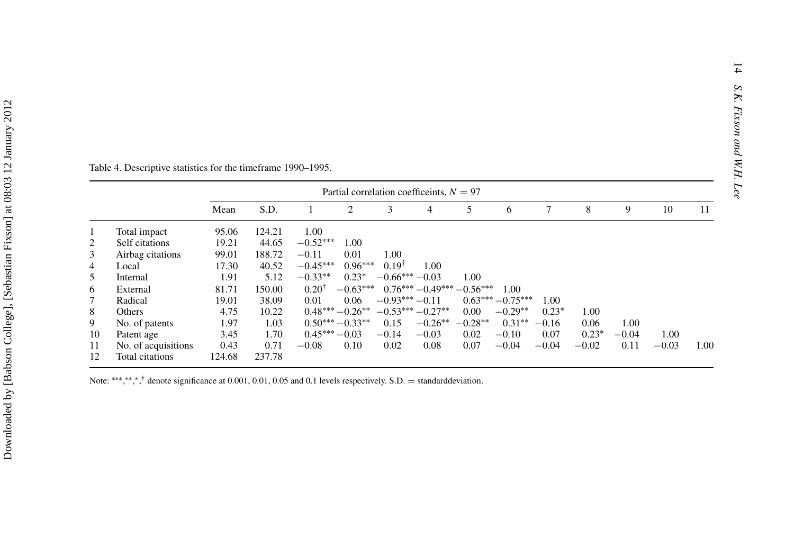|                     | Mean  | S.D.   |                  | 2                                                            | 3                                                                                  | 4                       | 5                                                                    | 6                                          | $\tau$                    | 8                 | 9       | 10      | 11   |
|---------------------|-------|--------|------------------|--------------------------------------------------------------|------------------------------------------------------------------------------------|-------------------------|----------------------------------------------------------------------|--------------------------------------------|---------------------------|-------------------|---------|---------|------|
| Total impact        | 95.06 | 124.21 | 1.00             |                                                              |                                                                                    |                         |                                                                      |                                            |                           |                   |         |         |      |
| Self citations      | 19.21 | 44.65  |                  | 1.00                                                         |                                                                                    |                         |                                                                      |                                            |                           |                   |         |         |      |
| Airbag citations    | 99.01 | 188.72 | $-0.11$          | 0.01                                                         | 1.00                                                                               |                         |                                                                      |                                            |                           |                   |         |         |      |
| Local               | 17.30 | 40.52  |                  |                                                              | $0.19^{\dagger}$                                                                   | 1.00                    |                                                                      |                                            |                           |                   |         |         |      |
| Internal            | 1.91  | 5.12   | $-0.33**$        | $0.23*$                                                      |                                                                                    |                         | 1.00                                                                 |                                            |                           |                   |         |         |      |
| External            | 81.71 | 150.00 | $0.20^{\dagger}$ |                                                              |                                                                                    |                         |                                                                      | 1.00                                       |                           |                   |         |         |      |
| Radical             | 19.01 | 38.09  | 0.01             | 0.06                                                         |                                                                                    |                         |                                                                      |                                            | 1.00                      |                   |         |         |      |
| Others              | 4.75  | 10.22  |                  |                                                              |                                                                                    |                         | 0.00                                                                 | $-0.29**$                                  | $0.23*$                   | 1.00              |         |         |      |
| No. of patents      | 1.97  | 1.03   |                  |                                                              | 0.15                                                                               |                         | $-0.28**$                                                            | $0.31**$                                   | $-0.16$                   | 0.06              | 1.00    |         |      |
| Patent age          | 3.45  | 1.70   |                  |                                                              | $-0.14$                                                                            | $-0.03$                 | 0.02                                                                 | $-0.10$                                    | 0.07                      | $0.23*$           | $-0.04$ | 1.00    |      |
| No. of acquisitions | 0.43  | 0.71   | $-0.08$          | 0.10                                                         | 0.02                                                                               | 0.08                    | 0.07                                                                 | $-0.04$                                    | $-0.04$                   | $-0.02$           | 0.11    | $-0.03$ | 1.00 |
|                     |       |        |                  |                                                              |                                                                                    |                         |                                                                      |                                            |                           |                   |         |         |      |
|                     |       |        |                  | Table 4. Descriptive statistics for the timeframe 1990-1995. | $-0.52***$<br>$-0.45***$<br>$0.48***-0.26**$<br>$0.50***-0.33**$<br>$0.45***-0.03$ | $0.96***$<br>$-0.63***$ | $-0.66***-0.03$<br>$-0.93***-0.11$<br>$-0.53***-0.27**$<br>$-0.26**$ | Partial correlation coefficeints, $N = 97$ | $0.76***-0.49***-0.56***$ | $0.63***-0.75***$ |         |         |      |

Note: <sup>\*\*\*</sup>,\*\*,\*,\*,\* denote significance at 0.001, 0.01, 0.05 and 0.1 levels respectively. S.D. = standarddeviation.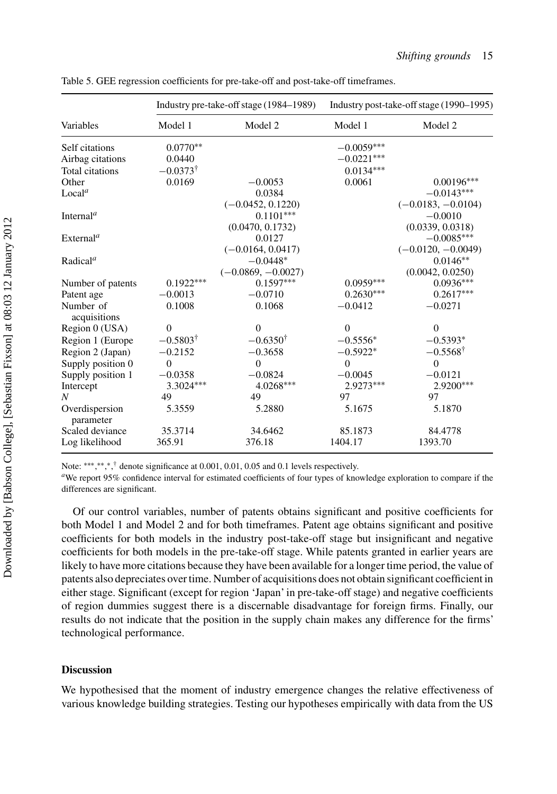|                             |                     | Industry pre-take-off stage (1984–1989) | Industry post-take-off stage (1990–1995) |                      |  |  |
|-----------------------------|---------------------|-----------------------------------------|------------------------------------------|----------------------|--|--|
| Variables                   | Model 1             | Model 2                                 | Model 1                                  | Model 2              |  |  |
| Self citations              | $0.0770**$          |                                         | $-0.0059***$                             |                      |  |  |
| Airbag citations            | 0.0440              |                                         | $-0.0221***$                             |                      |  |  |
| Total citations             | $-0.0373^{\dagger}$ |                                         | $0.0134***$                              |                      |  |  |
| Other                       | 0.0169              | $-0.0053$                               | 0.0061                                   | $0.00196***$         |  |  |
| Local <sup>a</sup>          |                     | 0.0384                                  |                                          | $-0.0143***$         |  |  |
|                             |                     | $(-0.0452, 0.1220)$                     |                                          | $(-0.0183, -0.0104)$ |  |  |
| Internal <sup>a</sup>       |                     | $0.1101***$                             |                                          | $-0.0010$            |  |  |
|                             |                     | (0.0470, 0.1732)                        |                                          | (0.0339, 0.0318)     |  |  |
| External <sup>a</sup>       |                     | 0.0127                                  |                                          | $-0.0085***$         |  |  |
|                             |                     | $(-0.0164, 0.0417)$                     |                                          | $(-0.0120, -0.0049)$ |  |  |
| Radical <sup>a</sup>        |                     | $-0.0448*$                              |                                          | $0.0146**$           |  |  |
|                             |                     | $(-0.0869, -0.0027)$                    |                                          | (0.0042, 0.0250)     |  |  |
| Number of patents           | $0.1922***$         | $0.1597***$                             | $0.0959***$                              | $0.0936***$          |  |  |
| Patent age                  | $-0.0013$           | $-0.0710$                               | $0.2630***$                              | $0.2617***$          |  |  |
| Number of<br>acquisitions   | 0.1008              | 0.1068                                  | $-0.0412$                                | $-0.0271$            |  |  |
| Region 0 (USA)              | $\theta$            | $\Omega$                                | $\Omega$                                 | $\Omega$             |  |  |
| Region 1 (Europe            | $-0.5803^{\dagger}$ | $-0.6350^{\dagger}$                     | $-0.5556*$                               | $-0.5393*$           |  |  |
| Region 2 (Japan)            | $-0.2152$           | $-0.3658$                               | $-0.5922*$                               | $-0.5568^{\dagger}$  |  |  |
| Supply position 0           | $\Omega$            | $\Omega$                                | $\theta$                                 | $\Omega$             |  |  |
| Supply position 1           | $-0.0358$           | $-0.0824$                               | $-0.0045$                                | $-0.0121$            |  |  |
| Intercept                   | 3.3024***           | $4.0268***$                             | $2.9273***$                              | 2.9200***            |  |  |
| $\boldsymbol{N}$            | 49                  | 49                                      | 97                                       | 97                   |  |  |
| Overdispersion<br>parameter | 5.3559              | 5.2880                                  | 5.1675                                   | 5.1870               |  |  |
| Scaled deviance             | 35.3714             | 34.6462                                 | 85.1873                                  | 84.4778              |  |  |
| Log likelihood              | 365.91              | 376.18                                  | 1404.17                                  | 1393.70              |  |  |

Table 5. GEE regression coefficients for pre-take-off and post-take-off timeframes.

Note: \*\*\*,\*\*,\*,<sup>†</sup> denote significance at 0.001, 0.01, 0.05 and 0.1 levels respectively.

*<sup>a</sup>*We report 95% confidence interval for estimated coefficients of four types of knowledge exploration to compare if the differences are significant.

Of our control variables, number of patents obtains significant and positive coefficients for both Model 1 and Model 2 and for both timeframes. Patent age obtains significant and positive coefficients for both models in the industry post-take-off stage but insignificant and negative coefficients for both models in the pre-take-off stage. While patents granted in earlier years are likely to have more citations because they have been available for a longer time period, the value of patents also depreciates over time. Number of acquisitions does not obtain significant coefficient in either stage. Significant (except for region 'Japan' in pre-take-off stage) and negative coefficients of region dummies suggest there is a discernable disadvantage for foreign firms. Finally, our results do not indicate that the position in the supply chain makes any difference for the firms' technological performance.

## **Discussion**

We hypothesised that the moment of industry emergence changes the relative effectiveness of various knowledge building strategies. Testing our hypotheses empirically with data from the US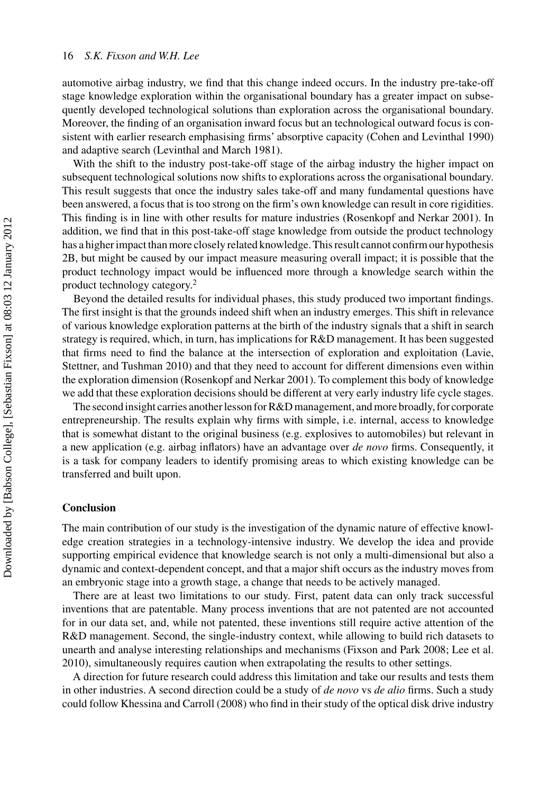automotive airbag industry, we find that this change indeed occurs. In the industry pre-take-off stage knowledge exploration within the organisational boundary has a greater impact on subsequently developed technological solutions than exploration across the organisational boundary. Moreover, the finding of an organisation inward focus but an technological outward focus is consistent with earlier research emphasising firms' absorptive capacity (Cohen and Levinthal 1990) and adaptive search (Levinthal and March 1981).

With the shift to the industry post-take-off stage of the airbag industry the higher impact on subsequent technological solutions now shifts to explorations across the organisational boundary. This result suggests that once the industry sales take-off and many fundamental questions have been answered, a focus that is too strong on the firm's own knowledge can result in core rigidities. This finding is in line with other results for mature industries (Rosenkopf and Nerkar 2001). In addition, we find that in this post-take-off stage knowledge from outside the product technology has a higher impact than more closely related knowledge. This result cannot confirm our hypothesis 2B, but might be caused by our impact measure measuring overall impact; it is possible that the product technology impact would be influenced more through a knowledge search within the product technology category.<sup>2</sup>

Beyond the detailed results for individual phases, this study produced two important findings. The first insight is that the grounds indeed shift when an industry emerges. This shift in relevance of various knowledge exploration patterns at the birth of the industry signals that a shift in search strategy is required, which, in turn, has implications for R&D management. It has been suggested that firms need to find the balance at the intersection of exploration and exploitation (Lavie, Stettner, and Tushman 2010) and that they need to account for different dimensions even within the exploration dimension (Rosenkopf and Nerkar 2001). To complement this body of knowledge we add that these exploration decisions should be different at very early industry life cycle stages.

The second insight carries another lesson for R&D management, and more broadly, for corporate entrepreneurship. The results explain why firms with simple, i.e. internal, access to knowledge that is somewhat distant to the original business (e.g. explosives to automobiles) but relevant in a new application (e.g. airbag inflators) have an advantage over *de novo* firms. Consequently, it is a task for company leaders to identify promising areas to which existing knowledge can be transferred and built upon.

### **Conclusion**

The main contribution of our study is the investigation of the dynamic nature of effective knowledge creation strategies in a technology-intensive industry. We develop the idea and provide supporting empirical evidence that knowledge search is not only a multi-dimensional but also a dynamic and context-dependent concept, and that a major shift occurs as the industry moves from an embryonic stage into a growth stage, a change that needs to be actively managed.

There are at least two limitations to our study. First, patent data can only track successful inventions that are patentable. Many process inventions that are not patented are not accounted for in our data set, and, while not patented, these inventions still require active attention of the R&D management. Second, the single-industry context, while allowing to build rich datasets to unearth and analyse interesting relationships and mechanisms (Fixson and Park 2008; Lee et al. 2010), simultaneously requires caution when extrapolating the results to other settings.

A direction for future research could address this limitation and take our results and tests them in other industries. A second direction could be a study of *de novo* vs *de alio* firms. Such a study could follow Khessina and Carroll (2008) who find in their study of the optical disk drive industry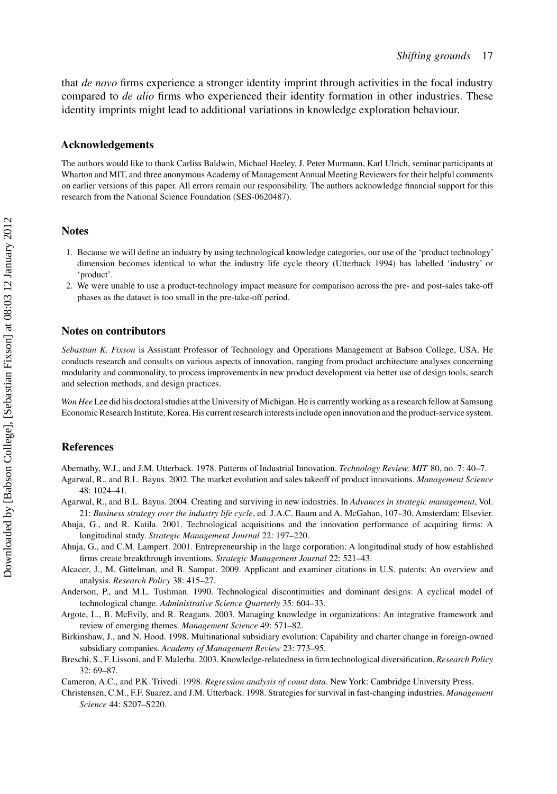that *de novo* firms experience a stronger identity imprint through activities in the focal industry compared to *de alio* firms who experienced their identity formation in other industries. These identity imprints might lead to additional variations in knowledge exploration behaviour.

## **Acknowledgements**

The authors would like to thank Carliss Baldwin, Michael Heeley, J. Peter Murmann, Karl Ulrich, seminar participants at Wharton and MIT, and three anonymous Academy of Management Annual Meeting Reviewers for their helpful comments on earlier versions of this paper. All errors remain our responsibility. The authors acknowledge financial support for this research from the National Science Foundation (SES-0620487).

## **Notes**

- 1. Because we will define an industry by using technological knowledge categories, our use of the 'product technology' dimension becomes identical to what the industry life cycle theory (Utterback 1994) has labelled 'industry' or 'product'.
- 2. We were unable to use a product-technology impact measure for comparison across the pre- and post-sales take-off phases as the dataset is too small in the pre-take-off period.

## **Notes on contributors**

*Sebastian K. Fixson* is Assistant Professor of Technology and Operations Management at Babson College, USA. He conducts research and consults on various aspects of innovation, ranging from product architecture analyses concerning modularity and commonality, to process improvements in new product development via better use of design tools, search and selection methods, and design practices.

*Won Hee* Lee did his doctoral studies at the University of Michigan. He is currently working as a research fellow at Samsung Economic Research Institute, Korea. His current research interests include open innovation and the product-service system.

## **References**

Abernathy, W.J., and J.M. Utterback. 1978. Patterns of Industrial Innovation. *Technology Review, MIT* 80, no. 7: 40–7.

- Agarwal, R., and B.L. Bayus. 2002. The market evolution and sales takeoff of product innovations. *Management Science* 48: 1024–41.
- Agarwal, R., and B.L. Bayus. 2004. Creating and surviving in new industries. In *Advances in strategic management*, Vol. 21: *Business strategy over the industry life cycle*, ed. J.A.C. Baum and A. McGahan, 107–30. Amsterdam: Elsevier.
- Ahuja, G., and R. Katila. 2001. Technological acquisitions and the innovation performance of acquiring firms: A longitudinal study. *Strategic Management Journal* 22: 197–220.
- Ahuja, G., and C.M. Lampert. 2001. Entrepreneurship in the large corporation: A longitudinal study of how established firms create breakthrough inventions. *Strategic Management Journal* 22: 521–43.
- Alcacer, J., M. Gittelman, and B. Sampat. 2009. Applicant and examiner citations in U.S. patents: An overview and analysis. *Research Policy* 38: 415–27.
- Anderson, P., and M.L. Tushman. 1990. Technological discontinuities and dominant designs: A cyclical model of technological change. *Administrative Science Quarterly* 35: 604–33.
- Argote, L., B. McEvily, and R. Reagans. 2003. Managing knowledge in organizations: An integrative framework and review of emerging themes. *Management Science* 49: 571–82.
- Birkinshaw, J., and N. Hood. 1998. Multinational subsidiary evolution: Capability and charter change in foreign-owned subsidiary companies. *Academy of Management Review* 23: 773–95.
- Breschi, S., F. Lissoni, and F. Malerba. 2003. Knowledge-relatedness in firm technological diversification. *Research Policy*  $32.69 - 87$
- Cameron, A.C., and P.K. Trivedi. 1998. *Regression analysis of count data*. New York: Cambridge University Press.
- Christensen, C.M., F.F. Suarez, and J.M. Utterback. 1998. Strategies for survival in fast-changing industries. *Management Science* 44: S207–S220.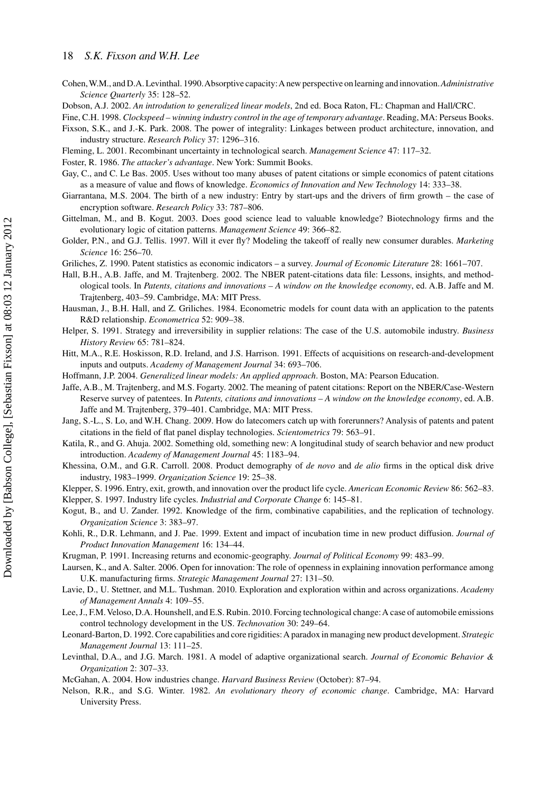- Cohen,W.M., and D.A. Levinthal. 1990.Absorptive capacity:A new perspective on learning and innovation.*Administrative Science Quarterly* 35: 128–52.
- Dobson, A.J. 2002. *An introdution to generalized linear models*, 2nd ed. Boca Raton, FL: Chapman and Hall/CRC.

- industry structure. *Research Policy* 37: 1296–316.
- Fleming, L. 2001. Recombinant uncertainty in technological search. *Management Science* 47: 117–32.

Foster, R. 1986. *The attacker's advantage*. New York: Summit Books.

- Gay, C., and C. Le Bas. 2005. Uses without too many abuses of patent citations or simple economics of patent citations as a measure of value and flows of knowledge. *Economics of Innovation and New Technology* 14: 333–38.
- Giarrantana, M.S. 2004. The birth of a new industry: Entry by start-ups and the drivers of firm growth the case of encryption software. *Research Policy* 33: 787–806.
- Gittelman, M., and B. Kogut. 2003. Does good science lead to valuable knowledge? Biotechnology firms and the evolutionary logic of citation patterns. *Management Science* 49: 366–82.
- Golder, P.N., and G.J. Tellis. 1997. Will it ever fly? Modeling the takeoff of really new consumer durables. *Marketing Science* 16: 256–70.
- Griliches, Z. 1990. Patent statistics as economic indicators a survey. *Journal of Economic Literature* 28: 1661–707.
- Hall, B.H., A.B. Jaffe, and M. Trajtenberg. 2002. The NBER patent-citations data file: Lessons, insights, and methodological tools. In *Patents, citations and innovations – A window on the knowledge economy*, ed. A.B. Jaffe and M. Trajtenberg, 403–59. Cambridge, MA: MIT Press.
- Hausman, J., B.H. Hall, and Z. Griliches. 1984. Econometric models for count data with an application to the patents R&D relationship. *Econometrica* 52: 909–38.
- Helper, S. 1991. Strategy and irreversibility in supplier relations: The case of the U.S. automobile industry. *Business History Review* 65: 781–824.
- Hitt, M.A., R.E. Hoskisson, R.D. Ireland, and J.S. Harrison. 1991. Effects of acquisitions on research-and-development inputs and outputs. *Academy of Management Journal* 34: 693–706.
- Hoffmann, J.P. 2004. *Generalized linear models: An applied approach*. Boston, MA: Pearson Education.
- Jaffe, A.B., M. Trajtenberg, and M.S. Fogarty. 2002. The meaning of patent citations: Report on the NBER/Case-Western Reserve survey of patentees. In *Patents, citations and innovations – A window on the knowledge economy*, ed. A.B. Jaffe and M. Trajtenberg, 379–401. Cambridge, MA: MIT Press.
- Jang, S.-L., S. Lo, and W.H. Chang. 2009. How do latecomers catch up with forerunners? Analysis of patents and patent citations in the field of flat panel display technologies. *Scientometrics* 79: 563–91.
- Katila, R., and G. Ahuja. 2002. Something old, something new: A longitudinal study of search behavior and new product introduction. *Academy of Management Journal* 45: 1183–94.
- Khessina, O.M., and G.R. Carroll. 2008. Product demography of *de novo* and *de alio* firms in the optical disk drive industry, 1983–1999. *Organization Science* 19: 25–38.
- Klepper, S. 1996. Entry, exit, growth, and innovation over the product life cycle. *American Economic Review* 86: 562–83.
- Klepper, S. 1997. Industry life cycles. *Industrial and Corporate Change* 6: 145–81.
- Kogut, B., and U. Zander. 1992. Knowledge of the firm, combinative capabilities, and the replication of technology. *Organization Science* 3: 383–97.
- Kohli, R., D.R. Lehmann, and J. Pae. 1999. Extent and impact of incubation time in new product diffusion. *Journal of Product Innovation Management* 16: 134–44.
- Krugman, P. 1991. Increasing returns and economic-geography. *Journal of Political Economy* 99: 483–99.
- Laursen, K., and A. Salter. 2006. Open for innovation: The role of openness in explaining innovation performance among U.K. manufacturing firms. *Strategic Management Journal* 27: 131–50.
- Lavie, D., U. Stettner, and M.L. Tushman. 2010. Exploration and exploration within and across organizations. *Academy of Management Annals* 4: 109–55.
- Lee, J., F.M.Veloso, D.A. Hounshell, and E.S. Rubin. 2010. Forcing technological change:A case of automobile emissions control technology development in the US. *Technovation* 30: 249–64.
- Leonard-Barton, D. 1992. Core capabilities and core rigidities:A paradox in managing new product development. *Strategic Management Journal* 13: 111–25.
- Levinthal, D.A., and J.G. March. 1981. A model of adaptive organizational search. *Journal of Economic Behavior & Organization* 2: 307–33.
- McGahan, A. 2004. How industries change. *Harvard Business Review* (October): 87–94.
- Nelson, R.R., and S.G. Winter. 1982. *An evolutionary theory of economic change*. Cambridge, MA: Harvard University Press.

Fine, C.H. 1998. *Clockspeed – winning industry control in the age of temporary advantage*. Reading, MA: Perseus Books. Fixson, S.K., and J.-K. Park. 2008. The power of integrality: Linkages between product architecture, innovation, and